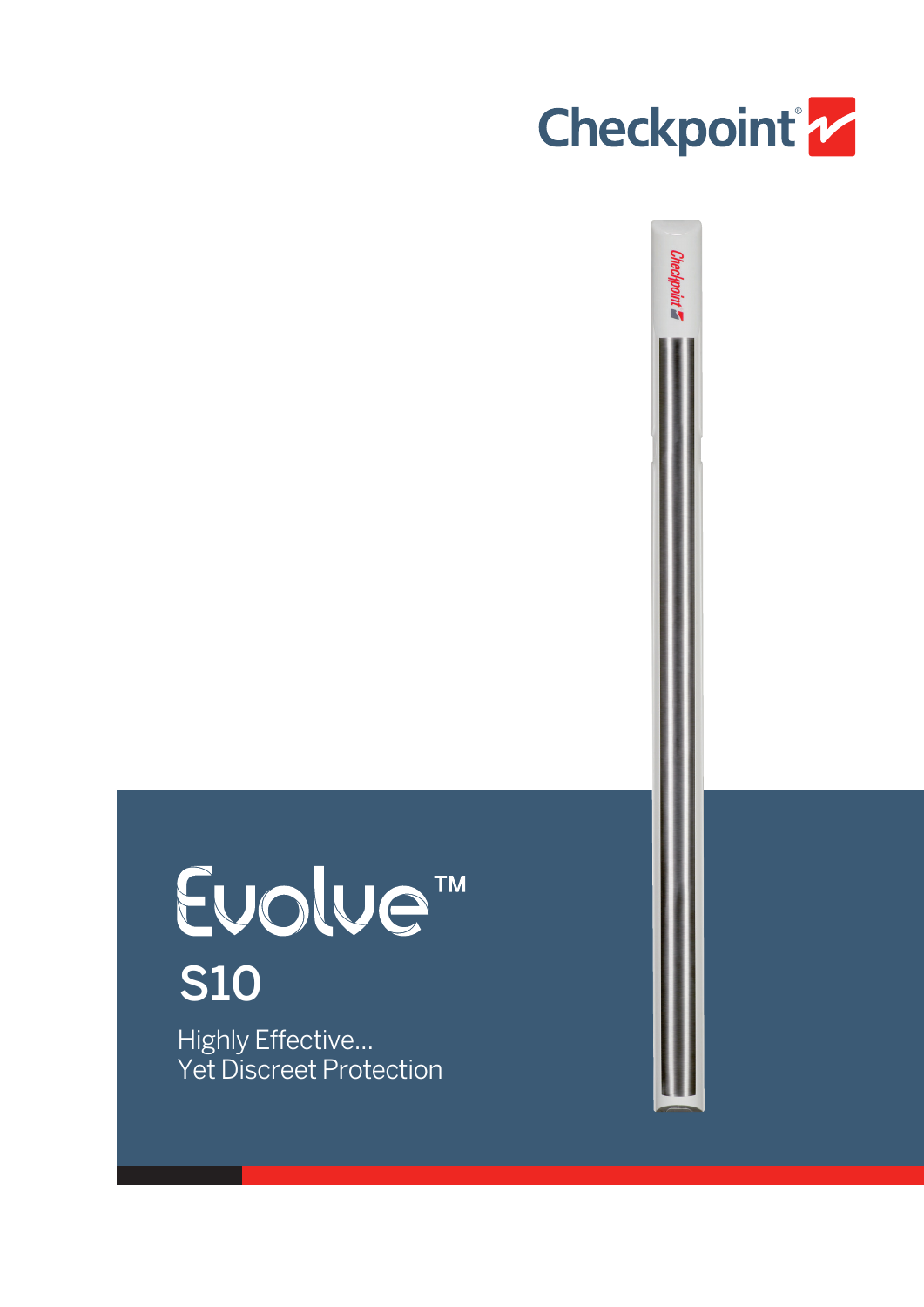

Checkpoint **Z** 

# Euolue<sup>™</sup> S10

Highly Effective... Yet Discreet Protection